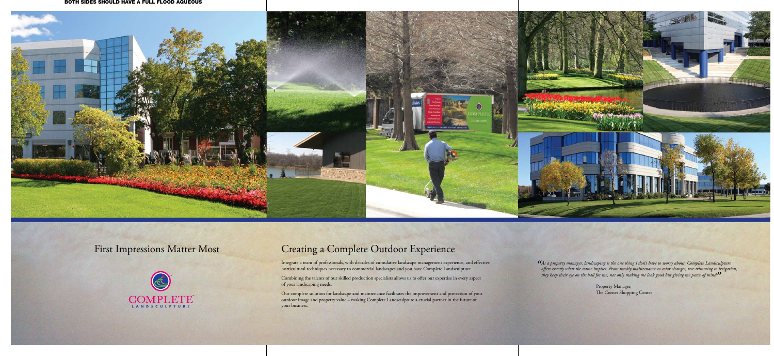



#### BOTH SIDES SHOULD HAVE A FULL FLOOD AQUEOUS